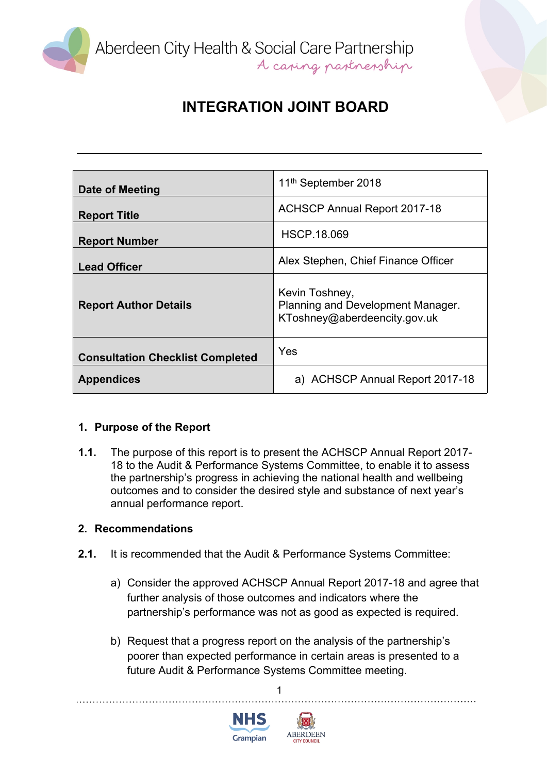

# **INTEGRATION JOINT BOARD**

| Date of Meeting                         | 11 <sup>th</sup> September 2018                                                     |
|-----------------------------------------|-------------------------------------------------------------------------------------|
| <b>Report Title</b>                     | <b>ACHSCP Annual Report 2017-18</b>                                                 |
| <b>Report Number</b>                    | <b>HSCP.18.069</b>                                                                  |
| <b>Lead Officer</b>                     | Alex Stephen, Chief Finance Officer                                                 |
| <b>Report Author Details</b>            | Kevin Toshney,<br>Planning and Development Manager.<br>KToshney@aberdeencity.gov.uk |
| <b>Consultation Checklist Completed</b> | Yes                                                                                 |
| <b>Appendices</b>                       | a) ACHSCP Annual Report 2017-18                                                     |

## **1. Purpose of the Report**

**1.1.** The purpose of this report is to present the ACHSCP Annual Report 2017- 18 to the Audit & Performance Systems Committee, to enable it to assess the partnership's progress in achieving the national health and wellbeing outcomes and to consider the desired style and substance of next year's annual performance report.

### **2. Recommendations**

- **2.1.** It is recommended that the Audit & Performance Systems Committee:
	- a) Consider the approved ACHSCP Annual Report 2017-18 and agree that further analysis of those outcomes and indicators where the partnership's performance was not as good as expected is required.
	- b) Request that a progress report on the analysis of the partnership's poorer than expected performance in certain areas is presented to a future Audit & Performance Systems Committee meeting.

1



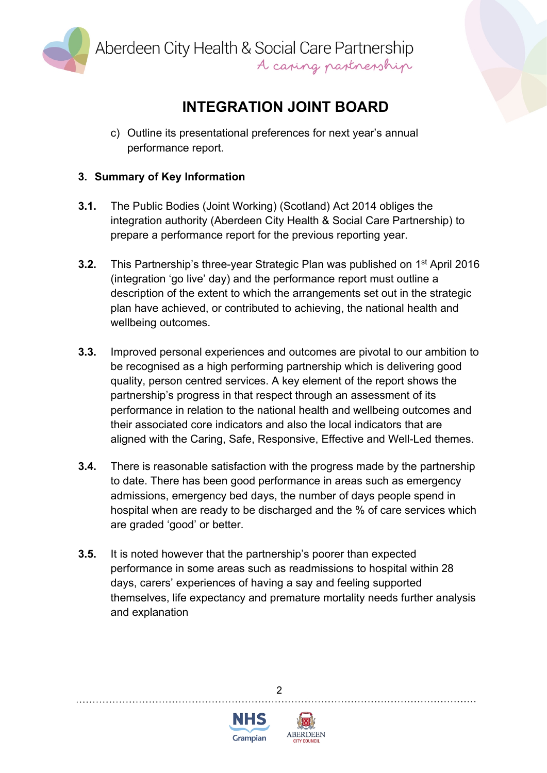

Aberdeen City Health & Social Care Partnership<br>A caping partnership

# **INTEGRATION JOINT BOARD**

c) Outline its presentational preferences for next year's annual performance report.

## **3. Summary of Key Information**

- **3.1.** The Public Bodies (Joint Working) (Scotland) Act 2014 obliges the integration authority (Aberdeen City Health & Social Care Partnership) to prepare a performance report for the previous reporting year.
- **3.2.** This Partnership's three-year Strategic Plan was published on 1<sup>st</sup> April 2016 (integration 'go live' day) and the performance report must outline a description of the extent to which the arrangements set out in the strategic plan have achieved, or contributed to achieving, the national health and wellbeing outcomes.
- **3.3.** Improved personal experiences and outcomes are pivotal to our ambition to be recognised as a high performing partnership which is delivering good quality, person centred services. A key element of the report shows the partnership's progress in that respect through an assessment of its performance in relation to the national health and wellbeing outcomes and their associated core indicators and also the local indicators that are aligned with the Caring, Safe, Responsive, Effective and Well-Led themes.
- **3.4.** There is reasonable satisfaction with the progress made by the partnership to date. There has been good performance in areas such as emergency admissions, emergency bed days, the number of days people spend in hospital when are ready to be discharged and the % of care services which are graded 'good' or better.
- **3.5.** It is noted however that the partnership's poorer than expected performance in some areas such as readmissions to hospital within 28 days, carers' experiences of having a say and feeling supported themselves, life expectancy and premature mortality needs further analysis and explanation

 $\mathfrak{p}$ 



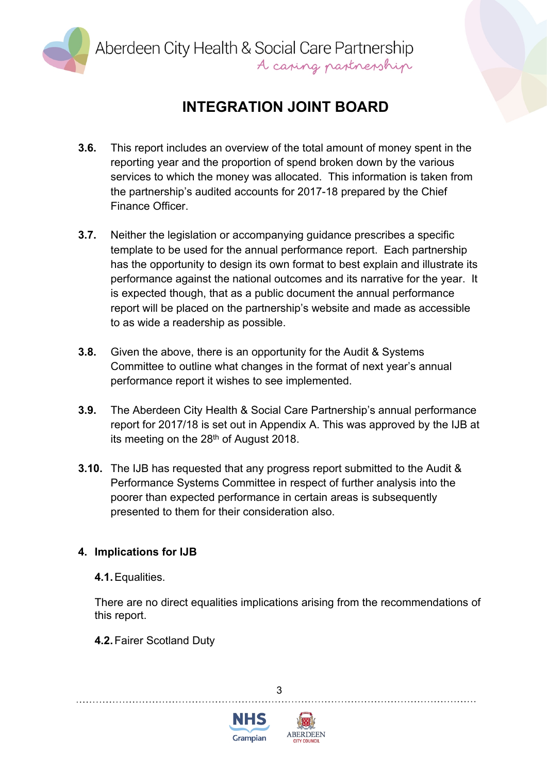

Aberdeen City Health & Social Care Partnership<br>A caping partnership

# **INTEGRATION JOINT BOARD**

- **3.6.** This report includes an overview of the total amount of money spent in the reporting year and the proportion of spend broken down by the various services to which the money was allocated. This information is taken from the partnership's audited accounts for 2017-18 prepared by the Chief Finance Officer.
- **3.7.** Neither the legislation or accompanying guidance prescribes a specific template to be used for the annual performance report. Each partnership has the opportunity to design its own format to best explain and illustrate its performance against the national outcomes and its narrative for the year. It is expected though, that as a public document the annual performance report will be placed on the partnership's website and made as accessible to as wide a readership as possible.
- **3.8.** Given the above, there is an opportunity for the Audit & Systems Committee to outline what changes in the format of next year's annual performance report it wishes to see implemented.
- **3.9.** The Aberdeen City Health & Social Care Partnership's annual performance report for 2017/18 is set out in Appendix A. This was approved by the IJB at its meeting on the 28<sup>th</sup> of August 2018.
- **3.10.** The IJB has requested that any progress report submitted to the Audit & Performance Systems Committee in respect of further analysis into the poorer than expected performance in certain areas is subsequently presented to them for their consideration also.

## **4. Implications for IJB**

**4.1.**Equalities.

There are no direct equalities implications arising from the recommendations of this report.

3

**4.2.**Fairer Scotland Duty